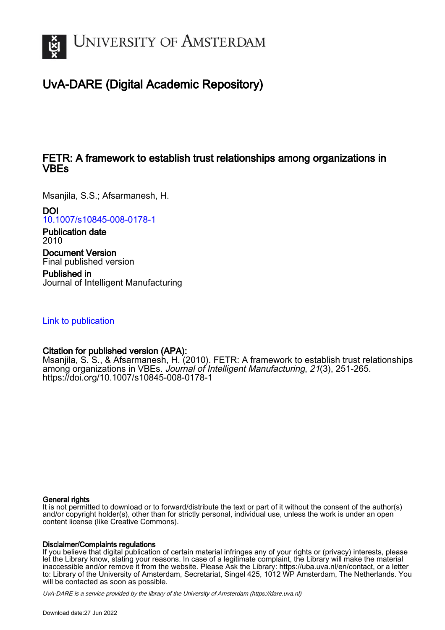

# UvA-DARE (Digital Academic Repository)

# FETR: A framework to establish trust relationships among organizations in VBEs

Msanjila, S.S.; Afsarmanesh, H.

DOI

[10.1007/s10845-008-0178-1](https://doi.org/10.1007/s10845-008-0178-1)

Publication date 2010

Document Version Final published version

Published in Journal of Intelligent Manufacturing

[Link to publication](https://dare.uva.nl/personal/pure/en/publications/fetr-a-framework-to-establish-trust-relationships-among-organizations-in-vbes(93a152f8-bb35-4046-b3e5-6f4177854e4c).html)

## Citation for published version (APA):

Msanjila, S. S., & Afsarmanesh, H. (2010). FETR: A framework to establish trust relationships among organizations in VBEs. Journal of Intelligent Manufacturing, 21(3), 251-265. <https://doi.org/10.1007/s10845-008-0178-1>

## General rights

It is not permitted to download or to forward/distribute the text or part of it without the consent of the author(s) and/or copyright holder(s), other than for strictly personal, individual use, unless the work is under an open content license (like Creative Commons).

## Disclaimer/Complaints regulations

If you believe that digital publication of certain material infringes any of your rights or (privacy) interests, please let the Library know, stating your reasons. In case of a legitimate complaint, the Library will make the material inaccessible and/or remove it from the website. Please Ask the Library: https://uba.uva.nl/en/contact, or a letter to: Library of the University of Amsterdam, Secretariat, Singel 425, 1012 WP Amsterdam, The Netherlands. You will be contacted as soon as possible.

UvA-DARE is a service provided by the library of the University of Amsterdam (http*s*://dare.uva.nl)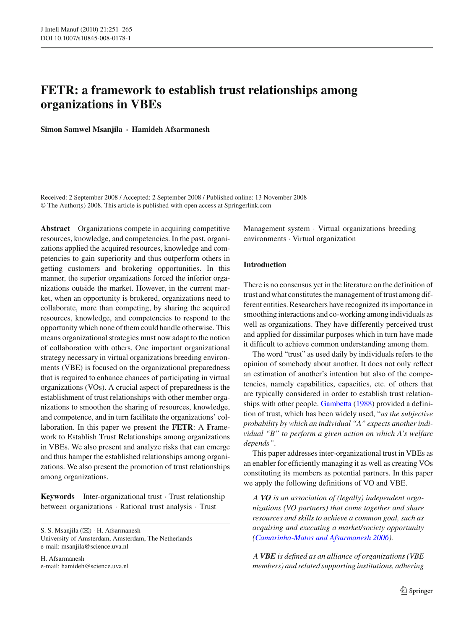# **FETR: a framework to establish trust relationships among organizations in VBEs**

**Simon Samwel Msanjila · Hamideh Afsarmanesh**

Received: 2 September 2008 / Accepted: 2 September 2008 / Published online: 13 November 2008 © The Author(s) 2008. This article is published with open access at Springerlink.com

**Abstract** Organizations compete in acquiring competitive resources, knowledge, and competencies. In the past, organizations applied the acquired resources, knowledge and competencies to gain superiority and thus outperform others in getting customers and brokering opportunities. In this manner, the superior organizations forced the inferior organizations outside the market. However, in the current market, when an opportunity is brokered, organizations need to collaborate, more than competing, by sharing the acquired resources, knowledge, and competencies to respond to the opportunity which none of them could handle otherwise. This means organizational strategies must now adapt to the notion of collaboration with others. One important organizational strategy necessary in virtual organizations breeding environments (VBE) is focused on the organizational preparedness that is required to enhance chances of participating in virtual organizations (VOs). A crucial aspect of preparedness is the establishment of trust relationships with other member organizations to smoothen the sharing of resources, knowledge, and competence, and in turn facilitate the organizations' collaboration. In this paper we present the **FETR**: A **F**ramework to **E**stablish **T**rust **R**elationships among organizations in VBEs. We also present and analyze risks that can emerge and thus hamper the established relationships among organizations. We also present the promotion of trust relationships among organizations.

**Keywords** Inter-organizational trust · Trust relationship between organizations · Rational trust analysis · Trust

S. S. Msanjila (B) · H. Afsarmanesh University of Amsterdam, Amsterdam, The Netherlands e-mail: msanjila@science.uva.nl

H. Afsarmanesh e-mail: hamideh@science.uva.nl Management system · Virtual organizations breeding environments · Virtual organization

## **Introduction**

There is no consensus yet in the literature on the definition of trust and what constitutes the management of trust among different entities. Researchers have recognized its importance in smoothing interactions and co-working among individuals as well as organizations. They have differently perceived trust and applied for dissimilar purposes which in turn have made it difficult to achieve common understanding among them.

The word "trust" as used daily by individuals refers to the opinion of somebody about another. It does not only reflect an estimation of another's intention but also of the competencies, namely capabilities, capacities, etc. of others that are typically considered in order to establish trust relationships with other people. [Gambetta](#page-14-0) [\(1988\)](#page-14-0) provided a definition of trust, which has been widely used, "*as the subjective probability by which an individual "A" expects another individual "B" to perform a given action on which A's welfare depends"*.

This paper addresses inter-organizational trust in VBEs as an enabler for efficiently managing it as well as creating VOs constituting its members as potential partners. In this paper we apply the following definitions of VO and VBE.

*A VO is an association of (legally) independent organizations (VO partners) that come together and share resources and skills to achieve a common goal, such as acquiring and executing a market/society opportunity [\(Camarinha-Matos and Afsarmanesh 2006\)](#page-14-1).*

*A VBE is defined as an alliance of organizations (VBE members) and related supporting institutions, adhering*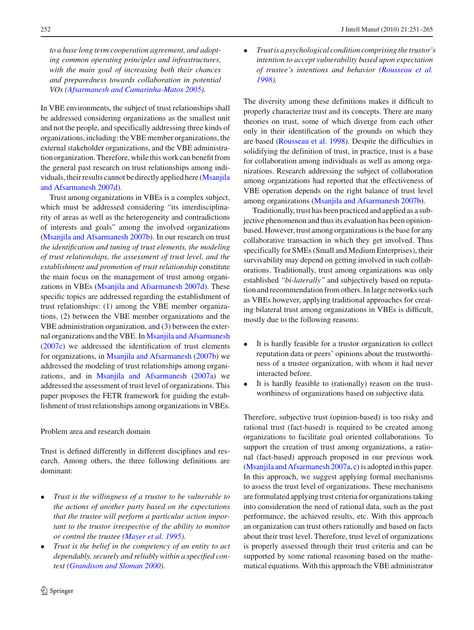*to a base long term cooperation agreement, and adopting common operating principles and infrastructures, with the main goal of increasing both their chances and preparedness towards collaboration in potential VOs [\(Afsarmanesh and Camarinha-Matos 2005\)](#page-14-2).*

In VBE environments, the subject of trust relationships shall be addressed considering organizations as the smallest unit and not the people, and specifically addressing three kinds of organizations, including: the VBE member organizations, the external stakeholder organizations, and the VBE administration organization. Therefore, while this work can benefit from the general past research on trust relationships among individuals, their res[ults cannot be directly applied here \(](#page-14-3)Msanjila and Afsarmanesh [2007d\)](#page-14-3).

Trust among organizations in VBEs is a complex subject, which must be addressed considering "its interdisciplinarity of areas as well as the heterogeneity and contradictions of interests and goals" among the involved organizations [\(Msanjila and Afsarmanesh 2007b](#page-14-4)). In our research on trust *the identification and tuning of trust elements, the modeling of trust relationships, the assessment of trust level, and the establishment and promotion of trust relationship* constitute the main focus on the management of trust among organizations in VBEs [\(Msanjila and Afsarmanesh 2007d\)](#page-14-3). These specific topics are addressed regarding the establishment of trust relationships: (1) among the VBE member organizations, (2) between the VBE member organizations and the VBE administration organization, and (3) between the external organizations and the VBE. In [Msanjila and Afsarmanesh](#page-14-5) [\(2007c\)](#page-14-5) we addressed the identification of trust elements for organizations, in [Msanjila and Afsarmanesh](#page-14-4) [\(2007b\)](#page-14-4) we addressed the modeling of trust relationships among organizations, and in [Msanjila and Afsarmanesh](#page-14-6) [\(2007a](#page-14-6)) we addressed the assessment of trust level of organizations. This paper proposes the FETR framework for guiding the establishment of trust relationships among organizations in VBEs.

#### Problem area and research domain

Trust is defined differently in different disciplines and research. Among others, the three following definitions are dominant:

- *Trust is the willingness of a trustor to be vulnerable to the actions of another party based on the expectations that the trustee will perform a particular action important to the trustor irrespective of the ability to monitor or control the trustee [\(Mayer et al. 1995\)](#page-14-7).*
- *Trust is the belief in the competency of an entity to act dependably, securely and reliably within a specified context [\(Grandison and Sloman 2000](#page-14-8)).*

• *Trust is a psychological condition comprising the trustor's intention to accept vulnerability based upon expectation of trustee's intentions and behavior [\(Rousseau et al.](#page-15-0) [1998](#page-15-0)).*

The diversity among these definitions makes it difficult to properly characterize trust and its concepts. There are many theories on trust, some of which diverge from each other only in their identification of the grounds on which they are based [\(Rousseau et al. 1998\)](#page-15-0). Despite the difficulties in solidifying the definition of trust, in practice, trust is a base for collaboration among individuals as well as among organizations. Research addressing the subject of collaboration among organizations had reported that the effectiveness of VBE operation depends on the right balance of trust level among organizations [\(Msanjila and Afsarmanesh 2007b](#page-14-4)).

Traditionally, trust has been practiced and applied as a subjective phenomenon and thus its evaluation has been opinionbased. However, trust among organizations is the base for any collaborative transaction in which they get involved. Thus specifically for SMEs (Small and Medium Enterprises), their survivability may depend on getting involved in such collaborations. Traditionally, trust among organizations was only established *"bi-laterally"* and subjectively based on reputation and recommendation from others. In large networks such as VBEs however, applying traditional approaches for creating bilateral trust among organizations in VBEs is difficult, mostly due to the following reasons:

- It is hardly feasible for a trustor organization to collect reputation data or peers' opinions about the trustworthiness of a trustee organization, with whom it had never interacted before.
- It is hardly feasible to (rationally) reason on the trustworthiness of organizations based on subjective data.

Therefore, subjective trust (opinion-based) is too risky and rational trust (fact-based) is required to be created among organizations to facilitate goal oriented collaborations. To support the creation of trust among organizations, a rational (fact-based) approach proposed in our previous work [\(Msanjila and Afsarmanesh 2007a](#page-14-6), [c\)](#page-14-5) is adopted in this paper. In this approach, we suggest applying formal mechanisms to assess the trust level of organizations. These mechanisms are formulated applying trust criteria for organizations taking into consideration the need of rational data, such as the past performance, the achieved results, etc. With this approach an organization can trust others rationally and based on facts about their trust level. Therefore, trust level of organizations is properly assessed through their trust criteria and can be supported by some rational reasoning based on the mathematical equations. With this approach the VBE administrator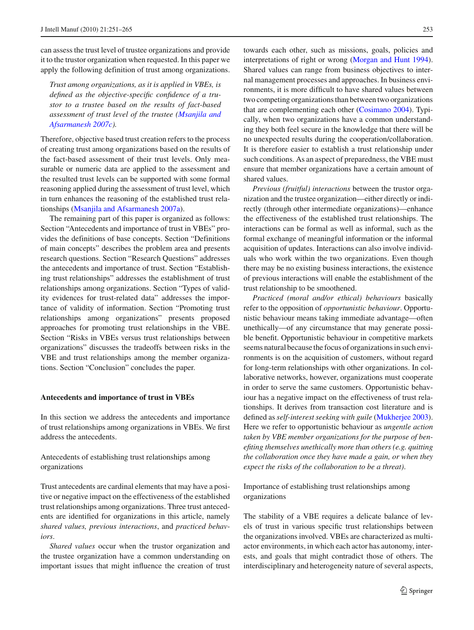can assess the trust level of trustee organizations and provide it to the trustor organization when requested. In this paper we apply the following definition of trust among organizations.

*Trust among organizations, as it is applied in VBEs, is defined as the objective-specific confidence of a trustor to a trustee based on the results of fact-based assessment [of](#page-14-5) [trust](#page-14-5) [level](#page-14-5) [of](#page-14-5) [the](#page-14-5) [trustee](#page-14-5) [\(](#page-14-5)Msanjila and Afsarmanesh [2007c](#page-14-5)).*

Therefore, objective based trust creation refers to the process of creating trust among organizations based on the results of the fact-based assessment of their trust levels. Only measurable or numeric data are applied to the assessment and the resulted trust levels can be supported with some formal reasoning applied during the assessment of trust level, which in turn enhances the reasoning of the established trust relationships [\(Msanjila and Afsarmanesh 2007a](#page-14-6)).

The remaining part of this paper is organized as follows: Section "Antecedents and importance of trust in VBEs" provides the definitions of base concepts. Section "Definitions of main concepts" describes the problem area and presents research questions. Section "Research Questions" addresses the antecedents and importance of trust. Section "Establishing trust relationships" addresses the establishment of trust relationships among organizations. Section "Types of validity evidences for trust-related data" addresses the importance of validity of information. Section "Promoting trust relationships among organizations" presents proposed approaches for promoting trust relationships in the VBE. Section "Risks in VBEs versus trust relationships between organizations" discusses the tradeoffs between risks in the VBE and trust relationships among the member organizations. Section "Conclusion" concludes the paper.

#### **Antecedents and importance of trust in VBEs**

In this section we address the antecedents and importance of trust relationships among organizations in VBEs. We first address the antecedents.

### Antecedents of establishing trust relationships among organizations

Trust antecedents are cardinal elements that may have a positive or negative impact on the effectiveness of the established trust relationships among organizations. Three trust antecedents are identified for organizations in this article, namely *shared values, previous interactions*, and *practiced behaviors*.

*Shared values* occur when the trustor organization and the trustee organization have a common understanding on important issues that might influence the creation of trust towards each other, such as missions, goals, policies and interpretations of right or wrong [\(Morgan and Hunt 1994](#page-14-9)). Shared values can range from business objectives to internal management processes and approaches. In business environments, it is more difficult to have shared values between two competing organizations than between two organizations that are complementing each other [\(Cosimano 2004](#page-14-10)). Typically, when two organizations have a common understanding they both feel secure in the knowledge that there will be no unexpected results during the cooperation/collaboration. It is therefore easier to establish a trust relationship under such conditions. As an aspect of preparedness, the VBE must ensure that member organizations have a certain amount of shared values.

*Previous (fruitful) interactions* between the trustor organization and the trustee organization—either directly or indirectly (through other intermediate organizations)—enhance the effectiveness of the established trust relationships. The interactions can be formal as well as informal, such as the formal exchange of meaningful information or the informal acquisition of updates. Interactions can also involve individuals who work within the two organizations. Even though there may be no existing business interactions, the existence of previous interactions will enable the establishment of the trust relationship to be smoothened.

*Practiced (moral and/or ethical) behaviours* basically refer to the opposition of *opportunistic behaviour*. Opportunistic behaviour means taking immediate advantage—often unethically—of any circumstance that may generate possible benefit. Opportunistic behaviour in competitive markets seems natural because the focus of organizations in such environments is on the acquisition of customers, without regard for long-term relationships with other organizations. In collaborative networks, however, organizations must cooperate in order to serve the same customers. Opportunistic behaviour has a negative impact on the effectiveness of trust relationships. It derives from transaction cost literature and is defined as *self-interest seeking with guile* [\(Mukherjee 2003](#page-15-1)). Here we refer to opportunistic behaviour as *ungentle action taken by VBE member organizations for the purpose of benefiting themselves unethically more than others (e.g. quitting the collaboration once they have made a gain, or when they expect the risks of the collaboration to be a threat)*.

Importance of establishing trust relationships among organizations

The stability of a VBE requires a delicate balance of levels of trust in various specific trust relationships between the organizations involved. VBEs are characterized as multiactor environments, in which each actor has autonomy, interests, and goals that might contradict those of others. The interdisciplinary and heterogeneity nature of several aspects,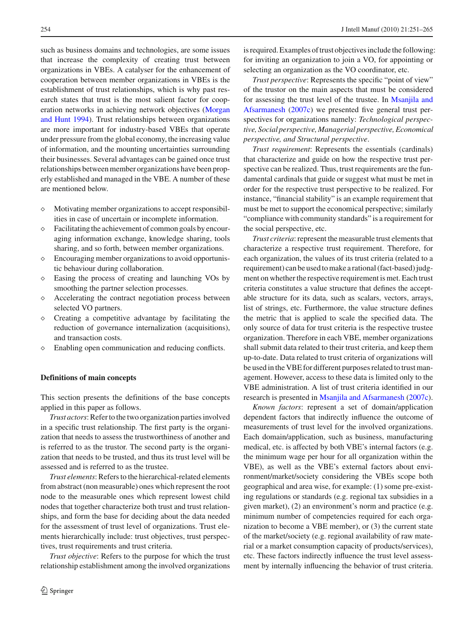such as business domains and technologies, are some issues that increase the complexity of creating trust between organizations in VBEs. A catalyser for the enhancement of cooperation between member organizations in VBEs is the establishment of trust relationships, which is why past research states that trust is the most salient factor for cooperation n[etworks in achieving network objectives \(](#page-14-9)Morgan and Hunt [1994\)](#page-14-9). Trust relationships between organizations are more important for industry-based VBEs that operate under pressure from the global economy, the increasing value of information, and the mounting uncertainties surrounding their businesses. Several advantages can be gained once trust relationships between member organizations have been properly established and managed in the VBE. A number of these are mentioned below.

- $\Diamond$  Motivating member organizations to accept responsibilities in case of uncertain or incomplete information.
- $\Diamond$  Facilitating the achievement of common goals by encouraging information exchange, knowledge sharing, tools sharing, and so forth, between member organizations.
- $\Diamond$  Encouraging member organizations to avoid opportunistic behaviour during collaboration.
- $\Diamond$  Easing the process of creating and launching VOs by smoothing the partner selection processes.
- $\Diamond$  Accelerating the contract negotiation process between selected VO partners.
- $\Diamond$  Creating a competitive advantage by facilitating the reduction of governance internalization (acquisitions), and transaction costs.
- $\Diamond$ Enabling open communication and reducing conflicts.

#### **Definitions of main concepts**

This section presents the definitions of the base concepts applied in this paper as follows.

*Trust actors*: Refer to the two organization parties involved in a specific trust relationship. The first party is the organization that needs to assess the trustworthiness of another and is referred to as the trustor. The second party is the organization that needs to be trusted, and thus its trust level will be assessed and is referred to as the trustee.

*Trust elements*: Refers to the hierarchical-related elements from abstract (non measurable) ones which represent the root node to the measurable ones which represent lowest child nodes that together characterize both trust and trust relationships, and form the base for deciding about the data needed for the assessment of trust level of organizations. Trust elements hierarchically include: trust objectives, trust perspectives, trust requirements and trust criteria.

*Trust objective*: Refers to the purpose for which the trust relationship establishment among the involved organizations is required. Examples of trust objectives include the following: for inviting an organization to join a VO, for appointing or selecting an organization as the VO coordinator, etc.

*Trust perspective*: Represents the specific "point of view" of the trustor on the main aspects that must be considered for assessing [the trust level of the trustee. In](#page-14-5) Msanjila and Afsarmanesh [\(2007c](#page-14-5)) we presented five general trust perspectives for organizations namely: *Technological perspective, Social perspective, Managerial perspective, Economical perspective, and Structural perspective*.

*Trust requirement*: Represents the essentials (cardinals) that characterize and guide on how the respective trust perspective can be realized. Thus, trust requirements are the fundamental cardinals that guide or suggest what must be met in order for the respective trust perspective to be realized. For instance, "financial stability" is an example requirement that must be met to support the economical perspective; similarly "compliance with community standards" is a requirement for the social perspective, etc.

*Trust criteria*: represent the measurable trust elements that characterize a respective trust requirement. Therefore, for each organization, the values of its trust criteria (related to a requirement) can be used to make a rational (fact-based) judgment on whether the respective requirement is met. Each trust criteria constitutes a value structure that defines the acceptable structure for its data, such as scalars, vectors, arrays, list of strings, etc. Furthermore, the value structure defines the metric that is applied to scale the specified data. The only source of data for trust criteria is the respective trustee organization. Therefore in each VBE, member organizations shall submit data related to their trust criteria, and keep them up-to-date. Data related to trust criteria of organizations will be used in the VBE for different purposes related to trust management. However, access to these data is limited only to the VBE administration. A list of trust criteria identified in our research is presented in [Msanjila and Afsarmanesh](#page-14-5) [\(2007c](#page-14-5)).

*Known factors*: represent a set of domain/application dependent factors that indirectly influence the outcome of measurements of trust level for the involved organizations. Each domain/application, such as business, manufacturing medical, etc. is affected by both VBE's internal factors (e.g. the minimum wage per hour for all organization within the VBE), as well as the VBE's external factors about environment/market/society considering the VBEs scope both geographical and area wise, for example: (1) some pre-existing regulations or standards (e.g. regional tax subsidies in a given market), (2) an environment's norm and practice (e.g. minimum number of competencies required for each organization to become a VBE member), or (3) the current state of the market/society (e.g. regional availability of raw material or a market consumption capacity of products/services), etc. These factors indirectly influence the trust level assessment by internally influencing the behavior of trust criteria.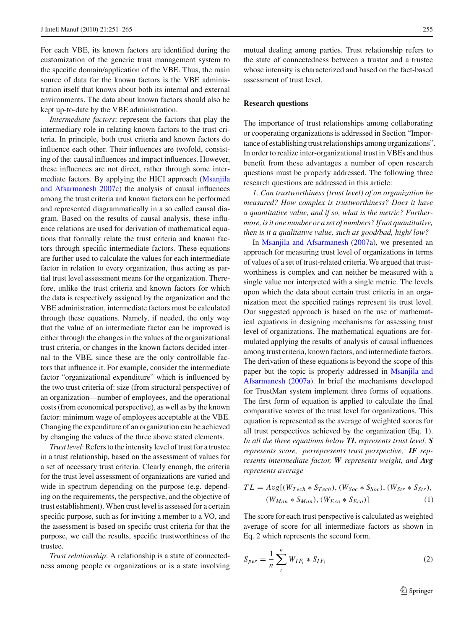For each VBE, its known factors are identified during the customization of the generic trust management system to the specific domain/application of the VBE. Thus, the main source of data for the known factors is the VBE administration itself that knows about both its internal and external environments. The data about known factors should also be kept up-to-date by the VBE administration.

*Intermediate factors*: represent the factors that play the intermediary role in relating known factors to the trust criteria. In principle, both trust criteria and known factors do influence each other. Their influences are twofold, consisting of the: causal influences and impact influences. However, these influences are not direct, rather through some intermediate factors. [By applying the HICI approach \(](#page-14-5)Msanjila and Afsarmanesh [2007c\)](#page-14-5) the analysis of causal influences among the trust criteria and known factors can be performed and represented diagrammatically in a so called causal diagram. Based on the results of causal analysis, these influence relations are used for derivation of mathematical equations that formally relate the trust criteria and known factors through specific intermediate factors. These equations are further used to calculate the values for each intermediate factor in relation to every organization, thus acting as partial trust level assessment means for the organization. Therefore, unlike the trust criteria and known factors for which the data is respectively assigned by the organization and the VBE administration, intermediate factors must be calculated through these equations. Namely, if needed, the only way that the value of an intermediate factor can be improved is either through the changes in the values of the organizational trust criteria, or changes in the known factors decided internal to the VBE, since these are the only controllable factors that influence it. For example, consider the intermediate factor "organizational expenditure" which is influenced by the two trust criteria of: size (from structural perspective) of an organization—number of employees, and the operational costs (from economical perspective), as well as by the known factor: minimum wage of employees acceptable at the VBE. Changing the expenditure of an organization can be achieved by changing the values of the three above stated elements.

*Trust level*: Refers to the intensity level of trust for a trustee in a trust relationship, based on the assessment of values for a set of necessary trust criteria. Clearly enough, the criteria for the trust level assessment of organizations are varied and wide in spectrum depending on the purpose (e.g. depending on the requirements, the perspective, and the objective of trust establishment). When trust level is assessed for a certain specific purpose, such as for inviting a member to a VO, and the assessment is based on specific trust criteria for that the purpose, we call the results, specific trustworthiness of the trustee.

*Trust relationship*: A relationship is a state of connectedness among people or organizations or is a state involving mutual dealing among parties. Trust relationship refers to the state of connectedness between a trustor and a trustee whose intensity is characterized and based on the fact-based assessment of trust level.

#### **Research questions**

The importance of trust relationships among collaborating or cooperating organizations is addressed in Section "Importance of establishing trust relationships among organizations". In order to realize inter-organizational trust in VBEs and thus benefit from these advantages a number of open research questions must be properly addressed. The following three research questions are addressed in this article:

*1. Can trustworthiness (trust level) of an organization be measured? How complex is trustworthiness? Does it have a quantitative value, and if so, what is the metric? Furthermore, is it one number or a set of numbers? If not quantitative, then is it a qualitative value, such as good/bad, high/ low?*

In [Msanjila and Afsarmanesh](#page-14-6) [\(2007a\)](#page-14-6), we presented an approach for measuring trust level of organizations in terms of values of a set of trust-related criteria. We argued that trustworthiness is complex and can neither be measured with a single value nor interpreted with a single metric. The levels upon which the data about certain trust criteria in an organization meet the specified ratings represent its trust level. Our suggested approach is based on the use of mathematical equations in designing mechanisms for assessing trust level of organizations. The mathematical equations are formulated applying the results of analysis of causal influences among trust criteria, known factors, and intermediate factors. The derivation of these equations is beyond the scope of this paper but th[e](#page-14-6) [topic](#page-14-6) [is](#page-14-6) [properly](#page-14-6) [addressed](#page-14-6) [in](#page-14-6) Msanjila and Afsarmanesh [\(2007a](#page-14-6)). In brief the mechanisms developed for TrustMan system implement three forms of equations. The first form of equation is applied to calculate the final comparative scores of the trust level for organizations. This equation is represented as the average of weighted scores for all trust perspectives achieved by the organization (Eq. 1). *In all the three equations below TL represents trust level, S represents score, perrepresents trust perspective, IF represents intermediate factor, W represents weight, and Avg represents average*

$$
TL = Avg[(W_{Tech} * S_{Tech}), (W_{Soc} * S_{Soc}), (W_{Str} * S_{Str}),
$$
  

$$
(W_{Man} * S_{Man}), (W_{Eco} * S_{Eco})]
$$
 (1)

The score for each trust perspective is calculated as weighted average of score for all intermediate factors as shown in Eq. 2 which represents the second form.

$$
S_{per} = \frac{1}{n} \sum_{i}^{n} W_{IF_i} * S_{IF_i}
$$
 (2)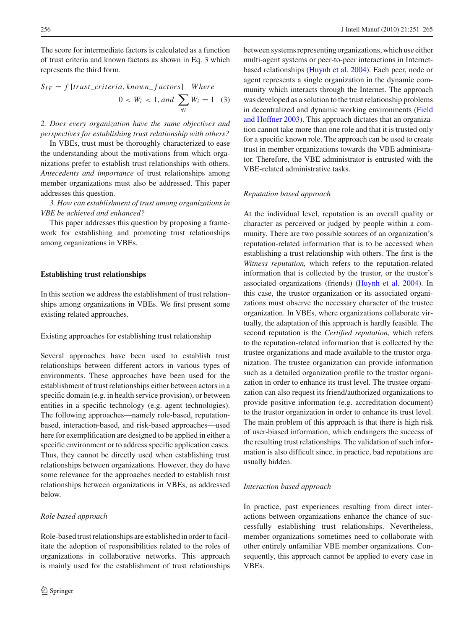The score for intermediate factors is calculated as a function of trust criteria and known factors as shown in Eq. 3 which represents the third form.

$$
S_{IF} = f[trust\_criterion, known\_factors] \quad Where
$$

$$
0 < W_i < 1, and \sum_{\forall i} W_i = 1 \quad (3)
$$

*2. Does every organization have the same objectives and perspectives for establishing trust relationship with others?*

In VBEs, trust must be thoroughly characterized to ease the understanding about the motivations from which organizations prefer to establish trust relationships with others. *Antecedents and importance* of trust relationships among member organizations must also be addressed. This paper addresses this question.

*3. How can establishment of trust among organizations in VBE be achieved and enhanced?*

This paper addresses this question by proposing a framework for establishing and promoting trust relationships among organizations in VBEs.

#### **Establishing trust relationships**

In this section we address the establishment of trust relationships among organizations in VBEs. We first present some existing related approaches.

#### Existing approaches for establishing trust relationship

Several approaches have been used to establish trust relationships between different actors in various types of environments. These approaches have been used for the establishment of trust relationships either between actors in a specific domain (e.g. in health service provision), or between entities in a specific technology (e.g. agent technologies). The following approaches—namely role-based, reputationbased, interaction-based, and risk-based approaches—used here for exemplification are designed to be applied in either a specific environment or to address specific application cases. Thus, they cannot be directly used when establishing trust relationships between organizations. However, they do have some relevance for the approaches needed to establish trust relationships between organizations in VBEs, as addressed below.

#### *Role based approach*

Role-based trust relationships are established in order to facilitate the adoption of responsibilities related to the roles of organizations in collaborative networks. This approach is mainly used for the establishment of trust relationships between systems representing organizations, which use either multi-agent systems or peer-to-peer interactions in Internetbased relationships [\(Huynh et al. 2004\)](#page-14-11). Each peer, node or agent represents a single organization in the dynamic community which interacts through the Internet. The approach was developed as a solution to the trust relationship problems in decentral[ized and dynamic working environments \(](#page-14-12)Field and Hoffner [2003\)](#page-14-12). This approach dictates that an organization cannot take more than one role and that it is trusted only for a specific known role. The approach can be used to create trust in member organizations towards the VBE administrator. Therefore, the VBE administrator is entrusted with the VBE-related administrative tasks.

#### *Reputation based approach*

At the individual level, reputation is an overall quality or character as perceived or judged by people within a community. There are two possible sources of an organization's reputation-related information that is to be accessed when establishing a trust relationship with others. The first is the *Witness reputation,* which refers to the reputation-related information that is collected by the trustor, or the trustor's associated organizations (friends) [\(Huynh et al. 2004](#page-14-11)). In this case, the trustor organization or its associated organizations must observe the necessary character of the trustee organization. In VBEs, where organizations collaborate virtually, the adaptation of this approach is hardly feasible. The second reputation is the *Certified reputation,* which refers to the reputation-related information that is collected by the trustee organizations and made available to the trustor organization. The trustee organization can provide information such as a detailed organization profile to the trustor organization in order to enhance its trust level. The trustee organization can also request its friend/authorized organizations to provide positive information (e.g. accreditation document) to the trustor organization in order to enhance its trust level. The main problem of this approach is that there is high risk of user-biased information, which endangers the success of the resulting trust relationships. The validation of such information is also difficult since, in practice, bad reputations are usually hidden.

#### *Interaction based approach*

In practice, past experiences resulting from direct interactions between organizations enhance the chance of successfully establishing trust relationships. Nevertheless, member organizations sometimes need to collaborate with other entirely unfamiliar VBE member organizations. Consequently, this approach cannot be applied to every case in VBEs.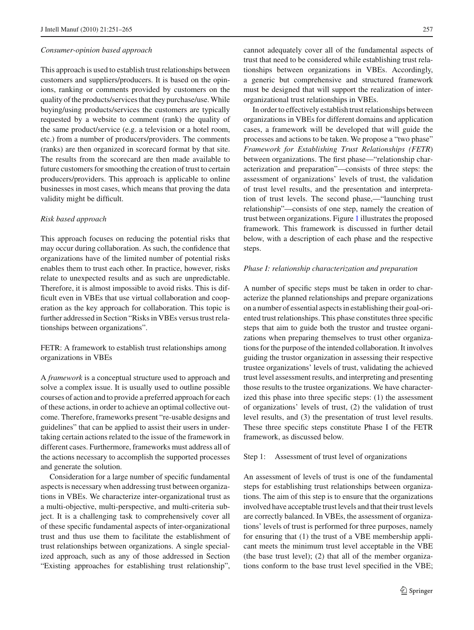#### *Consumer-opinion based approach*

This approach is used to establish trust relationships between customers and suppliers/producers. It is based on the opinions, ranking or comments provided by customers on the quality of the products/services that they purchase/use. While buying/using products/services the customers are typically requested by a website to comment (rank) the quality of the same product/service (e.g. a television or a hotel room, etc.) from a number of producers/providers. The comments (ranks) are then organized in scorecard format by that site. The results from the scorecard are then made available to future customers for smoothing the creation of trust to certain producers/providers. This approach is applicable to online businesses in most cases, which means that proving the data validity might be difficult.

#### *Risk based approach*

This approach focuses on reducing the potential risks that may occur during collaboration. As such, the confidence that organizations have of the limited number of potential risks enables them to trust each other. In practice, however, risks relate to unexpected results and as such are unpredictable. Therefore, it is almost impossible to avoid risks. This is difficult even in VBEs that use virtual collaboration and cooperation as the key approach for collaboration. This topic is further addressed in Section "Risks in VBEs versus trust relationships between organizations".

FETR: A framework to establish trust relationships among organizations in VBEs

A *framework* is a conceptual structure used to approach and solve a complex issue. It is usually used to outline possible courses of action and to provide a preferred approach for each of these actions, in order to achieve an optimal collective outcome. Therefore, frameworks present "re-usable designs and guidelines" that can be applied to assist their users in undertaking certain actions related to the issue of the framework in different cases. Furthermore, frameworks must address all of the actions necessary to accomplish the supported processes and generate the solution.

Consideration for a large number of specific fundamental aspects is necessary when addressing trust between organizations in VBEs. We characterize inter-organizational trust as a multi-objective, multi-perspective, and multi-criteria subject. It is a challenging task to comprehensively cover all of these specific fundamental aspects of inter-organizational trust and thus use them to facilitate the establishment of trust relationships between organizations. A single specialized approach, such as any of those addressed in Section "Existing approaches for establishing trust relationship", cannot adequately cover all of the fundamental aspects of trust that need to be considered while establishing trust relationships between organizations in VBEs. Accordingly, a generic but comprehensive and structured framework must be designed that will support the realization of interorganizational trust relationships in VBEs.

In order to effectively establish trust relationships between organizations in VBEs for different domains and application cases, a framework will be developed that will guide the processes and actions to be taken. We propose a "two phase" *Framework for Establishing Trust Relationships (FETR*) between organizations. The first phase—"relationship characterization and preparation"—consists of three steps: the assessment of organizations' levels of trust, the validation of trust level results, and the presentation and interpretation of trust levels. The second phase,—"launching trust relationship"—consists of one step, namely the creation of trust between organizations. Figure [1](#page-8-0) illustrates the proposed framework. This framework is discussed in further detail below, with a description of each phase and the respective steps.

#### *Phase I: relationship characterization and preparation*

A number of specific steps must be taken in order to characterize the planned relationships and prepare organizations on a number of essential aspects in establishing their goal-oriented trust relationships. This phase constitutes three specific steps that aim to guide both the trustor and trustee organizations when preparing themselves to trust other organizations for the purpose of the intended collaboration. It involves guiding the trustor organization in assessing their respective trustee organizations' levels of trust, validating the achieved trust level assessment results, and interpreting and presenting those results to the trustee organizations. We have characterized this phase into three specific steps: (1) the assessment of organizations' levels of trust, (2) the validation of trust level results, and (3) the presentation of trust level results. These three specific steps constitute Phase I of the FETR framework, as discussed below.

#### Step 1: Assessment of trust level of organizations

An assessment of levels of trust is one of the fundamental steps for establishing trust relationships between organizations. The aim of this step is to ensure that the organizations involved have acceptable trust levels and that their trust levels are correctly balanced. In VBEs, the assessment of organizations' levels of trust is performed for three purposes, namely for ensuring that (1) the trust of a VBE membership applicant meets the minimum trust level acceptable in the VBE (the base trust level); (2) that all of the member organizations conform to the base trust level specified in the VBE;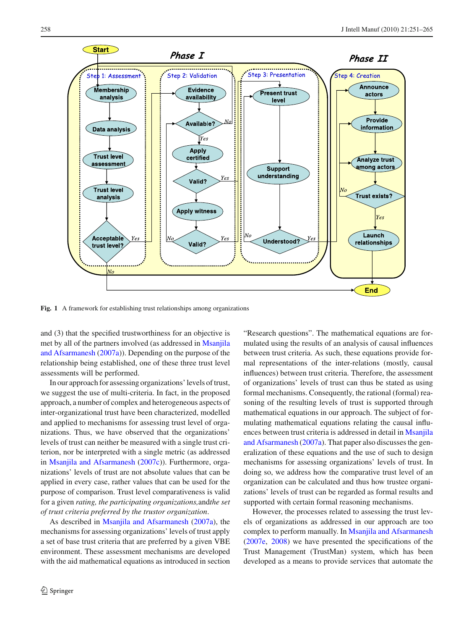

<span id="page-8-0"></span>**Fig. 1** A framework for establishing trust relationships among organizations

and (3) that the specified trustworthiness for an objective is met by all of the [partners involved \(as addressed in](#page-14-6) Msanjila and Afsarmanesh [\(2007a\)](#page-14-6)). Depending on the purpose of the relationship being established, one of these three trust level assessments will be performed.

In our approach for assessing organizations' levels of trust, we suggest the use of multi-criteria. In fact, in the proposed approach, a number of complex and heterogeneous aspects of inter-organizational trust have been characterized, modelled and applied to mechanisms for assessing trust level of organizations. Thus, we have observed that the organizations' levels of trust can neither be measured with a single trust criterion, nor be interpreted with a single metric (as addressed in [Msanjila and Afsarmanesh](#page-14-5) [\(2007c\)](#page-14-5)). Furthermore, organizations' levels of trust are not absolute values that can be applied in every case, rather values that can be used for the purpose of comparison. Trust level comparativeness is valid for a given *rating, the participating organizations,*and*the set of trust criteria preferred by the trustor organization*.

As described in [Msanjila and Afsarmanesh](#page-14-6) [\(2007a\)](#page-14-6), the mechanisms for assessing organizations' levels of trust apply a set of base trust criteria that are preferred by a given VBE environment. These assessment mechanisms are developed with the aid mathematical equations as introduced in section "Research questions". The mathematical equations are formulated using the results of an analysis of causal influences between trust criteria. As such, these equations provide formal representations of the inter-relations (mostly, causal influences) between trust criteria. Therefore, the assessment of organizations' levels of trust can thus be stated as using formal mechanisms. Consequently, the rational (formal) reasoning of the resulting levels of trust is supported through mathematical equations in our approach. The subject of formulating mathematical equations relating the causal influences between tr[ust criteria is addressed in detail in](#page-14-6) Msanjila and Afsarmanesh [\(2007a](#page-14-6)). That paper also discusses the generalization of these equations and the use of such to design mechanisms for assessing organizations' levels of trust. In doing so, we address how the comparative trust level of an organization can be calculated and thus how trustee organizations' levels of trust can be regarded as formal results and supported with certain formal reasoning mechanisms.

However, the processes related to assessing the trust levels of organizations as addressed in our approach are too complex to perform manually. In [Msanjila and Afsarmanesh](#page-15-2) [\(2007e,](#page-15-2) [2008](#page-15-3)) we have presented the specifications of the Trust Management (TrustMan) system, which has been developed as a means to provide services that automate the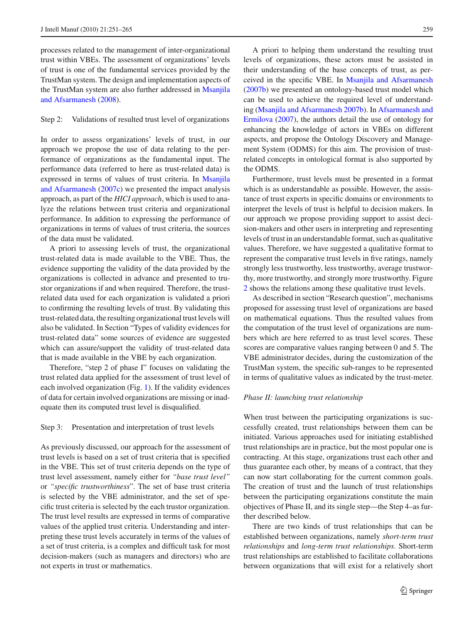processes related to the management of inter-organizational trust within VBEs. The assessment of organizations' levels of trust is one of the fundamental services provided by the TrustMan system. The design and implementation aspects of the TrustMan sy[stem are also further addressed in](#page-15-3) Msanjila and Afsarmanesh [\(2008](#page-15-3)).

#### Step 2: Validations of resulted trust level of organizations

In order to assess organizations' levels of trust, in our approach we propose the use of data relating to the performance of organizations as the fundamental input. The performance data (referred to here as trust-related data) is expressed in ter[ms of values of trust criteria. In](#page-14-5) Msanjila and Afsarmanesh [\(2007c](#page-14-5)) we presented the impact analysis approach, as part of the *HICI approach*, which is used to analyze the relations between trust criteria and organizational performance. In addition to expressing the performance of organizations in terms of values of trust criteria, the sources of the data must be validated.

A priori to assessing levels of trust, the organizational trust-related data is made available to the VBE. Thus, the evidence supporting the validity of the data provided by the organizations is collected in advance and presented to trustor organizations if and when required. Therefore, the trustrelated data used for each organization is validated a priori to confirming the resulting levels of trust. By validating this trust-related data, the resulting organizational trust levels will also be validated. In Section "Types of validity evidences for trust-related data" some sources of evidence are suggested which can assure/support the validity of trust-related data that is made available in the VBE by each organization.

Therefore, "step 2 of phase I" focuses on validating the trust related data applied for the assessment of trust level of each involved organization (Fig. [1\)](#page-8-0). If the validity evidences of data for certain involved organizations are missing or inadequate then its computed trust level is disqualified.

#### Step 3: Presentation and interpretation of trust levels

As previously discussed, our approach for the assessment of trust levels is based on a set of trust criteria that is specified in the VBE. This set of trust criteria depends on the type of trust level assessment, namely either for *"base trust level"* or *"specific trustworthiness*". The set of base trust criteria is selected by the VBE administrator, and the set of specific trust criteria is selected by the each trustor organization. The trust level results are expressed in terms of comparative values of the applied trust criteria. Understanding and interpreting these trust levels accurately in terms of the values of a set of trust criteria, is a complex and difficult task for most decision-makers (such as managers and directors) who are not experts in trust or mathematics.

A priori to helping them understand the resulting trust levels of organizations, these actors must be assisted in their understanding of the base concepts of trust, as perceived in the specific VBE. In [Msanjila and Afsarmanesh](#page-14-4) [\(2007b](#page-14-4)) we presented an ontology-based trust model which can be used to achieve the required level of understanding [\(Msanjila and Afsarmanesh 2007b](#page-14-4)[\). In](#page-14-13) Afsarmanesh and Ermilova [\(2007](#page-14-13)), the authors detail the use of ontology for enhancing the knowledge of actors in VBEs on different aspects, and propose the Ontology Discovery and Management System (ODMS) for this aim. The provision of trustrelated concepts in ontological format is also supported by the ODMS.

Furthermore, trust levels must be presented in a format which is as understandable as possible. However, the assistance of trust experts in specific domains or environments to interpret the levels of trust is helpful to decision makers. In our approach we propose providing support to assist decision-makers and other users in interpreting and representing levels of trust in an understandable format, such as qualitative values. Therefore, we have suggested a qualitative format to represent the comparative trust levels in five ratings, namely strongly less trustworthy, less trustworthy, average trustworthy, more trustworthy, and strongly more trustworthy. Figure [2](#page-10-0) shows the relations among these qualitative trust levels.

As described in section "Research question", mechanisms proposed for assessing trust level of organizations are based on mathematical equations. Thus the resulted values from the computation of the trust level of organizations are numbers which are here referred to as trust level scores. These scores are comparative values ranging between 0 and 5. The VBE administrator decides, during the customization of the TrustMan system, the specific sub-ranges to be represented in terms of qualitative values as indicated by the trust-meter.

#### *Phase II: launching trust relationship*

When trust between the participating organizations is successfully created, trust relationships between them can be initiated. Various approaches used for initiating established trust relationships are in practice, but the most popular one is contracting. At this stage, organizations trust each other and thus guarantee each other, by means of a contract, that they can now start collaborating for the current common goals. The creation of trust and the launch of trust relationships between the participating organizations constitute the main objectives of Phase II, and its single step—the Step 4–as further described below.

There are two kinds of trust relationships that can be established between organizations, namely *short-term trust relationships* and *long-term trust relationships*. Short-term trust relationships are established to facilitate collaborations between organizations that will exist for a relatively short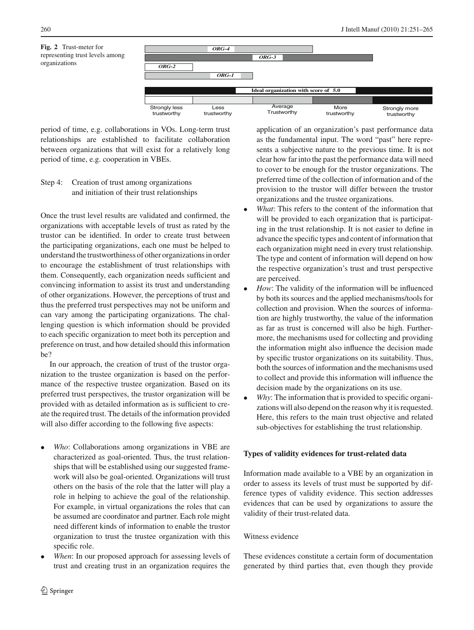<span id="page-10-0"></span>



period of time, e.g. collaborations in VOs. Long-term trust relationships are established to facilitate collaboration between organizations that will exist for a relatively long period of time, e.g. cooperation in VBEs.

## Step 4: Creation of trust among organizations and initiation of their trust relationships

Once the trust level results are validated and confirmed, the organizations with acceptable levels of trust as rated by the trustor can be identified. In order to create trust between the participating organizations, each one must be helped to understand the trustworthiness of other organizations in order to encourage the establishment of trust relationships with them. Consequently, each organization needs sufficient and convincing information to assist its trust and understanding of other organizations. However, the perceptions of trust and thus the preferred trust perspectives may not be uniform and can vary among the participating organizations. The challenging question is which information should be provided to each specific organization to meet both its perception and preference on trust, and how detailed should this information be?

In our approach, the creation of trust of the trustor organization to the trustee organization is based on the performance of the respective trustee organization. Based on its preferred trust perspectives, the trustor organization will be provided with as detailed information as is sufficient to create the required trust. The details of the information provided will also differ according to the following five aspects:

- *Who*: Collaborations among organizations in VBE are characterized as goal-oriented. Thus, the trust relationships that will be established using our suggested framework will also be goal-oriented. Organizations will trust others on the basis of the role that the latter will play a role in helping to achieve the goal of the relationship. For example, in virtual organizations the roles that can be assumed are coordinator and partner. Each role might need different kinds of information to enable the trustor organization to trust the trustee organization with this specific role.
- When: In our proposed approach for assessing levels of trust and creating trust in an organization requires the

application of an organization's past performance data as the fundamental input. The word "past" here represents a subjective nature to the previous time. It is not clear how far into the past the performance data will need to cover to be enough for the trustor organizations. The preferred time of the collection of information and of the provision to the trustor will differ between the trustor organizations and the trustee organizations.

- What: This refers to the content of the information that will be provided to each organization that is participating in the trust relationship. It is not easier to define in advance the specific types and content of information that each organization might need in every trust relationship. The type and content of information will depend on how the respective organization's trust and trust perspective are perceived.
- *How*: The validity of the information will be influenced by both its sources and the applied mechanisms/tools for collection and provision. When the sources of information are highly trustworthy, the value of the information as far as trust is concerned will also be high. Furthermore, the mechanisms used for collecting and providing the information might also influence the decision made by specific trustor organizations on its suitability. Thus, both the sources of information and the mechanisms used to collect and provide this information will influence the decision made by the organizations on its use.
- Why: The information that is provided to specific organizations will also depend on the reason why it is requested. Here, this refers to the main trust objective and related sub-objectives for establishing the trust relationship.

## **Types of validity evidences for trust-related data**

Information made available to a VBE by an organization in order to assess its levels of trust must be supported by difference types of validity evidence. This section addresses evidences that can be used by organizations to assure the validity of their trust-related data.

## Witness evidence

These evidences constitute a certain form of documentation generated by third parties that, even though they provide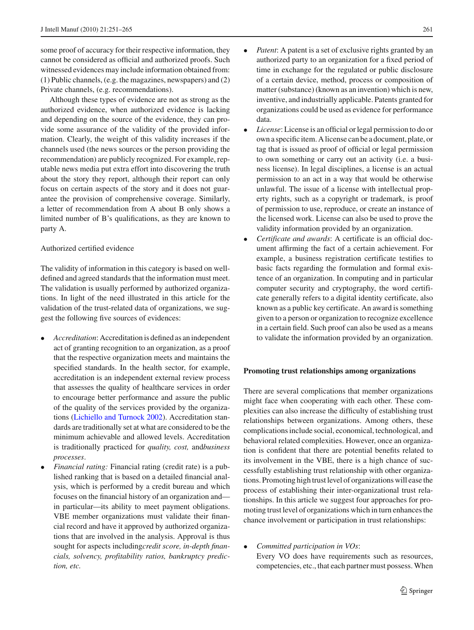some proof of accuracy for their respective information, they cannot be considered as official and authorized proofs. Such witnessed evidences may include information obtained from: (1) Public channels, (e.g. the magazines, newspapers) and (2) Private channels, (e.g. recommendations).

Although these types of evidence are not as strong as the authorized evidence, when authorized evidence is lacking and depending on the source of the evidence, they can provide some assurance of the validity of the provided information. Clearly, the weight of this validity increases if the channels used (the news sources or the person providing the recommendation) are publicly recognized. For example, reputable news media put extra effort into discovering the truth about the story they report, although their report can only focus on certain aspects of the story and it does not guarantee the provision of comprehensive coverage. Similarly, a letter of recommendation from A about B only shows a limited number of B's qualifications, as they are known to party A.

#### Authorized certified evidence

The validity of information in this category is based on welldefined and agreed standards that the information must meet. The validation is usually performed by authorized organizations. In light of the need illustrated in this article for the validation of the trust-related data of organizations, we suggest the following five sources of evidences:

- *Accreditation*: Accreditation is defined as an independent act of granting recognition to an organization, as a proof that the respective organization meets and maintains the specified standards. In the health sector, for example, accreditation is an independent external review process that assesses the quality of healthcare services in order to encourage better performance and assure the public of the quality of the services provided by the organizations [\(Lichiello and Turnock 2002](#page-14-14)). Accreditation standards are traditionally set at what are considered to be the minimum achievable and allowed levels. Accreditation is traditionally practiced for *quality, cost,* and*business processes*.
- *Financial rating:* Financial rating (credit rate) is a published ranking that is based on a detailed financial analysis, which is performed by a credit bureau and which focuses on the financial history of an organization and in particular—its ability to meet payment obligations. VBE member organizations must validate their financial record and have it approved by authorized organizations that are involved in the analysis. Approval is thus sought for aspects including*credit score, in-depth financials, solvency, profitability ratios, bankruptcy prediction, etc.*
- *Patent*: A patent is a set of exclusive rights granted by an authorized party to an organization for a fixed period of time in exchange for the regulated or public disclosure of a certain device, method, process or composition of matter (substance) (known as an invention) which is new, inventive, and industrially applicable. Patents granted for organizations could be used as evidence for performance data.
- *License*: License is an official or legal permission to do or own a specific item. A license can be a document, plate, or tag that is issued as proof of official or legal permission to own something or carry out an activity (i.e. a business license). In legal disciplines, a license is an actual permission to an act in a way that would be otherwise unlawful. The issue of a license with intellectual property rights, such as a copyright or trademark, is proof of permission to use, reproduce, or create an instance of the licensed work. License can also be used to prove the validity information provided by an organization.
- *Certificate and awards*: A certificate is an official document affirming the fact of a certain achievement. For example, a business registration certificate testifies to basic facts regarding the formulation and formal existence of an organization. In computing and in particular computer security and cryptography, the word certificate generally refers to a digital identity certificate, also known as a public key certificate. An award is something given to a person or organization to recognize excellence in a certain field. Such proof can also be used as a means to validate the information provided by an organization.

#### **Promoting trust relationships among organizations**

There are several complications that member organizations might face when cooperating with each other. These complexities can also increase the difficulty of establishing trust relationships between organizations. Among others, these complications include social, economical, technological, and behavioral related complexities. However, once an organization is confident that there are potential benefits related to its involvement in the VBE, there is a high chance of successfully establishing trust relationship with other organizations. Promoting high trust level of organizations will ease the process of establishing their inter-organizational trust relationships. In this article we suggest four approaches for promoting trust level of organizations which in turn enhances the chance involvement or participation in trust relationships:

• *Committed participation in VOs*: Every VO does have requirements such as resources, competencies, etc., that each partner must possess. When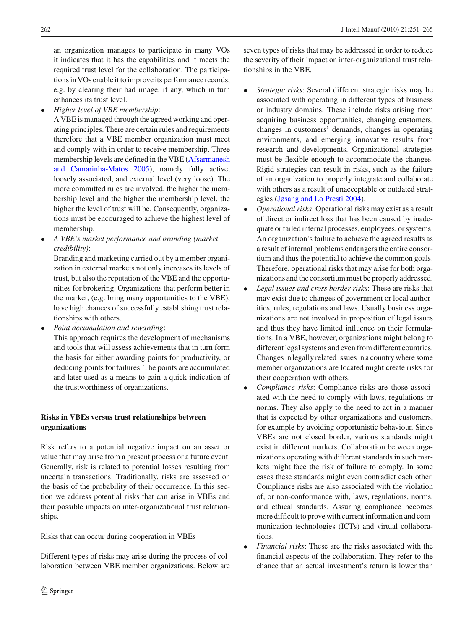an organization manages to participate in many VOs it indicates that it has the capabilities and it meets the required trust level for the collaboration. The participations in VOs enable it to improve its performance records, e.g. by clearing their bad image, if any, which in turn enhances its trust level.

• *Higher level of VBE membership*:

A VBE is managed through the agreed working and operating principles. There are certain rules and requirements therefore that a VBE member organization must meet and comply with in order to receive membership. Three membership levels are [defined in the VBE \(](#page-14-2)Afsarmanesh and Camarinha-Matos [2005\)](#page-14-2), namely fully active, loosely associated, and external level (very loose). The more committed rules are involved, the higher the membership level and the higher the membership level, the higher the level of trust will be. Consequently, organizations must be encouraged to achieve the highest level of membership.

• *A VBE's market performance and branding (market credibility)*:

Branding and marketing carried out by a member organization in external markets not only increases its levels of trust, but also the reputation of the VBE and the opportunities for brokering. Organizations that perform better in the market, (e.g. bring many opportunities to the VBE), have high chances of successfully establishing trust relationships with others.

• *Point accumulation and rewarding*:

This approach requires the development of mechanisms and tools that will assess achievements that in turn form the basis for either awarding points for productivity, or deducing points for failures. The points are accumulated and later used as a means to gain a quick indication of the trustworthiness of organizations.

## **Risks in VBEs versus trust relationships between organizations**

Risk refers to a potential negative impact on an asset or value that may arise from a present process or a future event. Generally, risk is related to potential losses resulting from uncertain transactions. Traditionally, risks are assessed on the basis of the probability of their occurrence. In this section we address potential risks that can arise in VBEs and their possible impacts on inter-organizational trust relationships.

Risks that can occur during cooperation in VBEs

Different types of risks may arise during the process of collaboration between VBE member organizations. Below are seven types of risks that may be addressed in order to reduce the severity of their impact on inter-organizational trust relationships in the VBE.

- *Strategic risks*: Several different strategic risks may be associated with operating in different types of business or industry domains. These include risks arising from acquiring business opportunities, changing customers, changes in customers' demands, changes in operating environments, and emerging innovative results from research and developments. Organizational strategies must be flexible enough to accommodate the changes. Rigid strategies can result in risks, such as the failure of an organization to properly integrate and collaborate with others as a result of unacceptable or outdated strategies [\(Jøsang and Lo Presti 2004\)](#page-14-15).
- *Operational risks*: Operational risks may exist as a result of direct or indirect loss that has been caused by inadequate or failed internal processes, employees, or systems. An organization's failure to achieve the agreed results as a result of internal problems endangers the entire consortium and thus the potential to achieve the common goals. Therefore, operational risks that may arise for both organizations and the consortium must be properly addressed.
- *Legal issues and cross border risks*: These are risks that may exist due to changes of government or local authorities, rules, regulations and laws. Usually business organizations are not involved in proposition of legal issues and thus they have limited influence on their formulations. In a VBE, however, organizations might belong to different legal systems and even from different countries. Changes in legally related issues in a country where some member organizations are located might create risks for their cooperation with others.
- *Compliance risks*: Compliance risks are those associated with the need to comply with laws, regulations or norms. They also apply to the need to act in a manner that is expected by other organizations and customers, for example by avoiding opportunistic behaviour. Since VBEs are not closed border, various standards might exist in different markets. Collaboration between organizations operating with different standards in such markets might face the risk of failure to comply. In some cases these standards might even contradict each other. Compliance risks are also associated with the violation of, or non-conformance with, laws, regulations, norms, and ethical standards. Assuring compliance becomes more difficult to prove with current information and communication technologies (ICTs) and virtual collaborations.
- *Financial risks*: These are the risks associated with the financial aspects of the collaboration. They refer to the chance that an actual investment's return is lower than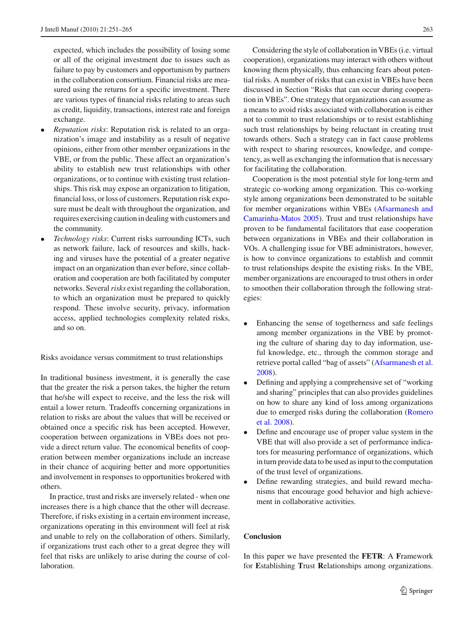expected, which includes the possibility of losing some or all of the original investment due to issues such as failure to pay by customers and opportunism by partners in the collaboration consortium. Financial risks are measured using the returns for a specific investment. There are various types of financial risks relating to areas such as credit, liquidity, transactions, interest rate and foreign exchange.

- *Reputation risks*: Reputation risk is related to an organization's image and instability as a result of negative opinions, either from other member organizations in the VBE, or from the public. These affect an organization's ability to establish new trust relationships with other organizations, or to continue with existing trust relationships. This risk may expose an organization to litigation, financial loss, or loss of customers. Reputation risk exposure must be dealt with throughout the organization, and requires exercising caution in dealing with customers and the community.
- *Technology risks*: Current risks surrounding ICTs, such as network failure, lack of resources and skills, hacking and viruses have the potential of a greater negative impact on an organization than ever before, since collaboration and cooperation are both facilitated by computer networks. Several*risks* exist regarding the collaboration, to which an organization must be prepared to quickly respond. These involve security, privacy, information access, applied technologies complexity related risks, and so on.

Risks avoidance versus commitment to trust relationships

In traditional business investment, it is generally the case that the greater the risk a person takes, the higher the return that he/she will expect to receive, and the less the risk will entail a lower return. Tradeoffs concerning organizations in relation to risks are about the values that will be received or obtained once a specific risk has been accepted. However, cooperation between organizations in VBEs does not provide a direct return value. The economical benefits of cooperation between member organizations include an increase in their chance of acquiring better and more opportunities and involvement in responses to opportunities brokered with others.

In practice, trust and risks are inversely related - when one increases there is a high chance that the other will decrease. Therefore, if risks existing in a certain environment increase, organizations operating in this environment will feel at risk and unable to rely on the collaboration of others. Similarly, if organizations trust each other to a great degree they will feel that risks are unlikely to arise during the course of collaboration.

Considering the style of collaboration in VBEs (i.e. virtual cooperation), organizations may interact with others without knowing them physically, thus enhancing fears about potential risks. A number of risks that can exist in VBEs have been discussed in Section "Risks that can occur during cooperation in VBEs". One strategy that organizations can assume as a means to avoid risks associated with collaboration is either not to commit to trust relationships or to resist establishing such trust relationships by being reluctant in creating trust towards others. Such a strategy can in fact cause problems with respect to sharing resources, knowledge, and competency, as well as exchanging the information that is necessary for facilitating the collaboration.

Cooperation is the most potential style for long-term and strategic co-working among organization. This co-working style among organizations been demonstrated to be suitable for member orga[nizations within VBEs \(](#page-14-2)Afsarmanesh and Camarinha-Matos [2005](#page-14-2)). Trust and trust relationships have proven to be fundamental facilitators that ease cooperation between organizations in VBEs and their collaboration in VOs. A challenging issue for VBE administrators, however, is how to convince organizations to establish and commit to trust relationships despite the existing risks. In the VBE, member organizations are encouraged to trust others in order to smoothen their collaboration through the following strategies:

- Enhancing the sense of togetherness and safe feelings among member organizations in the VBE by promoting the culture of sharing day to day information, useful knowledge, etc., through the common storage and retrieve portal called "bag of assets" [\(Afsarmanesh et al.](#page-14-16) [2008](#page-14-16)).
- Defining and applying a comprehensive set of "working and sharing" principles that can also provides guidelines on how to share any kind of loss among organizations due [to emerged risks during the collaboration \(](#page-15-4)Romero et al. [2008](#page-15-4)).
- Define and encourage use of proper value system in the VBE that will also provide a set of performance indicators for measuring performance of organizations, which in turn provide data to be used as input to the computation of the trust level of organizations.
- Define rewarding strategies, and build reward mechanisms that encourage good behavior and high achievement in collaborative activities.

## **Conclusion**

In this paper we have presented the **FETR**: A **F**ramework for **E**stablishing **T**rust **R**elationships among organizations.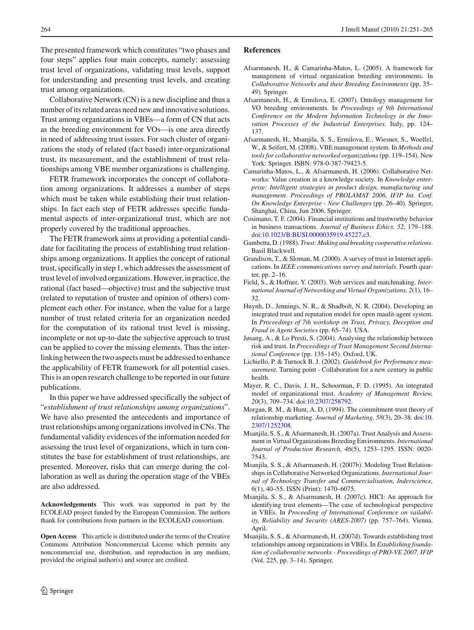The presented framework which constitutes "two phases and four steps" applies four main concepts, namely: assessing trust level of organizations, validating trust levels, support for understanding and presenting trust levels, and creating trust among organizations.

Collaborative Network (CN) is a new discipline and thus a number of its related areas need new and innovative solutions. Trust among organizations in VBEs—a form of CN that acts as the breeding environment for VOs—is one area directly in need of addressing trust issues. For such cluster of organizations the study of related (fact based) inter-organizational trust, its measurement, and the establishment of trust relationships among VBE member organizations is challenging.

FETR framework incorporates the concept of collaboration among organizations. It addresses a number of steps which must be taken while establishing their trust relationships. In fact each step of FETR addresses specific fundamental aspects of inter-organizational trust, which are not properly covered by the traditional approaches.

The FETR framework aims at providing a potential candidate for facilitating the process of establishing trust relationships among organizations. It applies the concept of rational trust, specifically in step 1, which addresses the assessment of trust level of involved organizations. However, in practice, the rational (fact based—objective) trust and the subjective trust (related to reputation of trustee and opinion of others) complement each other. For instance, when the value for a large number of trust related criteria for an organization needed for the computation of its rational trust level is missing, incomplete or not up-to-date the subjective approach to trust can be applied to cover the missing elements. Thus the interlinking between the two aspects must be addressed to enhance the applicability of FETR framework for all potential cases. This is an open research challenge to be reported in our future publications.

In this paper we have addressed specifically the subject of "*establishment of trust relationships among organizations*". We have also presented the antecedents and importance of trust relationships among organizations involved in CNs. The fundamental validity evidences of the information needed for assessing the trust level of organizations, which in turn constitutes the base for establishment of trust relationships, are presented. Moreover, risks that can emerge during the collaboration as well as during the operation stage of the VBEs are also addressed.

**Acknowledgements** This work was supported in part by the ECOLEAD project funded by the European Commission. The authors thank for contributions from partners in the ECOLEAD consortium.

**Open Access** This article is distributed under the terms of the Creative Commons Attribution Noncommercial License which permits any noncommercial use, distribution, and reproduction in any medium, provided the original author(s) and source are credited.

#### **References**

- <span id="page-14-2"></span>Afsarmanesh, H., & Camarinha-Matos, L. (2005). A framework for management of virtual organization breeding environments. In *Collaborative Networks and their Breeding Environments* (pp. 35– 49). Springer.
- <span id="page-14-13"></span>Afsarmanesh, H., & Ermilova, E. (2007). Ontology management for VO breeding environments. In *Proceedings of 9th International Conference on the Modern Information Technology in the Innovation Processes of the Industrial Enterprises*. Italy, pp. 124– 137.
- <span id="page-14-16"></span>Afsarmanesh, H., Msanjila, S. S., Ermilova, E., Wiesner, S., Woelfel, W., & Seifert, M. (2008). VBE management system. In *Methods and tools for collaborative networked organizations* (pp. 119–154). New York: Springer. ISBN: 978-0-387-79423-5.
- <span id="page-14-1"></span>Camarinha-Matos, L., & Afsarmanesh, H. (2006). Collaborative Networks: Value creation in a knowledge society. In *Knowledge enterprise: Intelligent strategies in product design, manufacturing and management. Proceedings of PROLAMAT 2006, IFIP Int. Conf. On Knowledge Enterprise - New Challenges* (pp. 26–40). Springer, Shanghai, China, Jun 2006. Springer.
- <span id="page-14-10"></span>Cosimano, T. F. (2004). Financial institutions and trustworthy behavior in business transactions. *Journal of Business Ethics, 52*, 179–188. doi[:10.1023/B:BUSI.0000035919.45227.c3.](http://dx.doi.org/10.1023/B:BUSI.0000035919.45227.c3)
- <span id="page-14-0"></span>Gambetta, D. (1988). *Trust: Making and breaking cooperative relations*. Basil Blackwell.
- <span id="page-14-8"></span>Grandison, T., & Sloman, M. (2000). A survey of trust in Internet applications. In *IEEE communications survey and tutorials*. Fourth quarter, pp. 2–16.
- <span id="page-14-12"></span>Field, S., & Hoffner, Y. (2003). Web services and matchmaking. *International Journal of Networking and Virtual Organizations, 2*(1), 16– 32.
- <span id="page-14-11"></span>Huynh, D., Jennings, N. R., & Shadbolt, N. R. (2004). Developing an integrated trust and reputation model for open maulit-agent system. In *Proceedings of 7th workshop on Trust, Privacy, Deception and Fraud in Agent Societies* (pp. 65–74). USA.
- <span id="page-14-15"></span>Jøsang, A., & Lo Presti, S. (2004). Analysing the relationship between risk and trust. In *Proceedings of Trust Management Second International Conference* (pp. 135–145). Oxford, UK.
- <span id="page-14-14"></span>Lichiello, P. & Turnock B. J. (2002). *Guidebook for Performance measurement*. Turning point - Collaboration for a new century in public health.
- <span id="page-14-7"></span>Mayer, R. C., Davis, J. H., Schoorman, F. D. (1995). An integrated model of organizational trust. *Academy of Management Review, 20*(3), 709–734. doi[:10.2307/258792.](http://dx.doi.org/10.2307/258792)
- <span id="page-14-9"></span>Morgan, R. M., & Hunt, A. D. (1994). The commitment-trust theory of relationship marketing. *Journal of Marketing, 58*(3), 20–38. doi[:10.](http://dx.doi.org/10.2307/1252308) [2307/1252308.](http://dx.doi.org/10.2307/1252308)
- <span id="page-14-6"></span>Msanjila, S. S., & Afsarmanesh, H. (2007a). Trust Analysis and Assessment in Virtual Organizations Breeding Environments. *International Journal of Production Research, 46*(5), 1253–1295. ISSN: 0020- 7543.
- <span id="page-14-4"></span>Msanjila, S. S., & Afsarmanesh, H. (2007b). Modeling Trust Relationships in Collaborative Networked Organizations. *International Journal of Technology Transfer and Commercialisation, Inderscience, 6*(1), 40–55. ISSN (Print): 1470–6075.
- <span id="page-14-5"></span>Msanjila, S. S., & Afsarmanesh, H. (2007c). HICI: An approach for identifying trust elements—The case of technological perspective in VBEs. In *Proceeding of International Conference on vailability, Reliability and Security (ARES-2007)* (pp. 757–764). Vienna. April.
- <span id="page-14-3"></span>Msanjila, S. S., & Afsarmanesh, H. (2007d). Towards establishing trust relationships among organizations in VBEs. In *Establishing foundation of collaborative networks - Proceedings of PRO-VE 2007, IFIP* (Vol. 225, pp. 3–14). Springer.